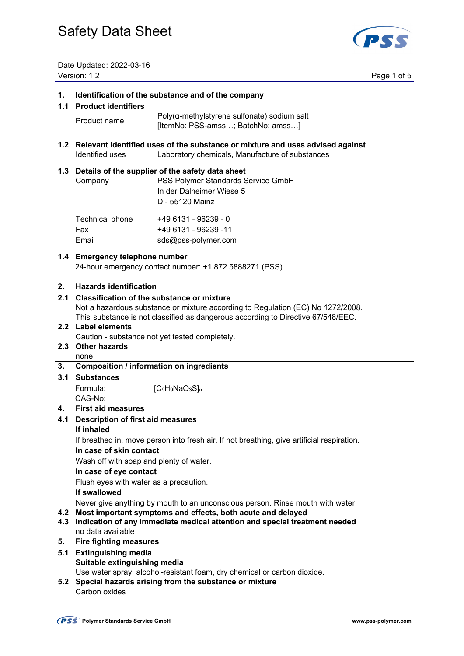

Date Updated: 2022-03-16<br>
<u>Version: 1.2</u>

Page 1 of 5

| 1.<br>1.1        | Identification of the substance and of the company<br><b>Product identifiers</b>                                                                                                                                                                          |                                                                                                                                       |  |  |
|------------------|-----------------------------------------------------------------------------------------------------------------------------------------------------------------------------------------------------------------------------------------------------------|---------------------------------------------------------------------------------------------------------------------------------------|--|--|
|                  | Product name                                                                                                                                                                                                                                              | $Poly(a$ -methylstyrene sulfonate) sodium salt<br>[ItemNo: PSS-amss; BatchNo: amss]                                                   |  |  |
| 1.2 <sub>1</sub> | Relevant identified uses of the substance or mixture and uses advised against<br>Identified uses<br>Laboratory chemicals, Manufacture of substances                                                                                                       |                                                                                                                                       |  |  |
| 1.3              | Company                                                                                                                                                                                                                                                   | Details of the supplier of the safety data sheet<br>PSS Polymer Standards Service GmbH<br>In der Dalheimer Wiese 5<br>D - 55120 Mainz |  |  |
|                  | Technical phone<br>Fax<br>Email                                                                                                                                                                                                                           | +49 6131 - 96239 - 0<br>+49 6131 - 96239 -11<br>sds@pss-polymer.com                                                                   |  |  |
|                  | 1.4 Emergency telephone number<br>24-hour emergency contact number: +1 872 5888271 (PSS)                                                                                                                                                                  |                                                                                                                                       |  |  |
| 2.<br>2.1        | <b>Hazards identification</b><br><b>Classification of the substance or mixture</b><br>Not a hazardous substance or mixture according to Regulation (EC) No 1272/2008.<br>This substance is not classified as dangerous according to Directive 67/548/EEC. |                                                                                                                                       |  |  |
|                  | 2.2 Label elements<br>Caution - substance not yet tested completely.<br>2.3 Other hazards                                                                                                                                                                 |                                                                                                                                       |  |  |
| 3.               | none<br><b>Composition / information on ingredients</b>                                                                                                                                                                                                   |                                                                                                                                       |  |  |
| 3.1              | <b>Substances</b>                                                                                                                                                                                                                                         |                                                                                                                                       |  |  |
|                  | Formula:<br>CAS-No:                                                                                                                                                                                                                                       | [C <sub>9</sub> H <sub>9</sub> NaO <sub>3</sub> S] <sub>n</sub>                                                                       |  |  |
| 4.               | <b>First aid measures</b>                                                                                                                                                                                                                                 |                                                                                                                                       |  |  |
| 4.1              | <b>Description of first aid measures</b>                                                                                                                                                                                                                  |                                                                                                                                       |  |  |
|                  | lf inhaled<br>If breathed in, move person into fresh air. If not breathing, give artificial respiration.                                                                                                                                                  |                                                                                                                                       |  |  |
|                  | In case of skin contact                                                                                                                                                                                                                                   |                                                                                                                                       |  |  |
|                  | Wash off with soap and plenty of water.                                                                                                                                                                                                                   |                                                                                                                                       |  |  |
|                  |                                                                                                                                                                                                                                                           | In case of eye contact                                                                                                                |  |  |
|                  | Flush eyes with water as a precaution.                                                                                                                                                                                                                    |                                                                                                                                       |  |  |
|                  | If swallowed                                                                                                                                                                                                                                              |                                                                                                                                       |  |  |
| 4.2<br>4.3       | Never give anything by mouth to an unconscious person. Rinse mouth with water.<br>Most important symptoms and effects, both acute and delayed<br>Indication of any immediate medical attention and special treatment needed<br>no data available          |                                                                                                                                       |  |  |
| 5.               | <b>Fire fighting measures</b>                                                                                                                                                                                                                             |                                                                                                                                       |  |  |
| 5.1              | <b>Extinguishing media</b><br>Suitable extinguishing media                                                                                                                                                                                                |                                                                                                                                       |  |  |
| 5.2              | Carbon oxides                                                                                                                                                                                                                                             | Use water spray, alcohol-resistant foam, dry chemical or carbon dioxide.<br>Special hazards arising from the substance or mixture     |  |  |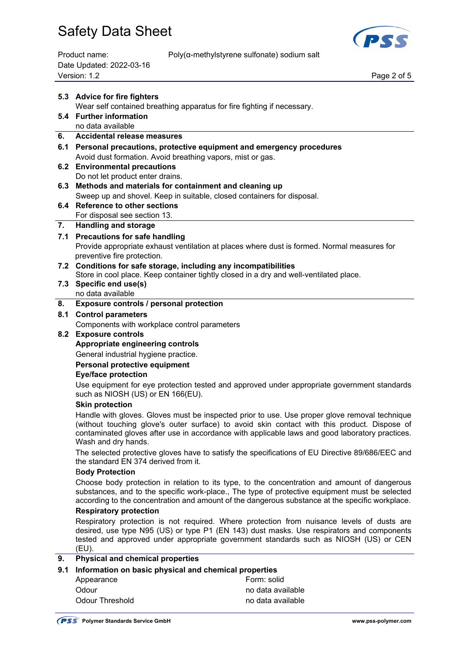

Date Updated: 2022-03-16 Page 2 of 5<br>Version: 1.2 Page 2 of 5

Product name: Poly(α-methylstyrene sulfonate) sodium salt

|    | 5.3 Advice for fire fighters                                                                                               |  |  |
|----|----------------------------------------------------------------------------------------------------------------------------|--|--|
|    | Wear self contained breathing apparatus for fire fighting if necessary.                                                    |  |  |
|    | 5.4 Further information                                                                                                    |  |  |
|    | no data available                                                                                                          |  |  |
|    | 6. Accidental release measures                                                                                             |  |  |
|    | 6.1 Personal precautions, protective equipment and emergency procedures                                                    |  |  |
|    | Avoid dust formation. Avoid breathing vapors, mist or gas.                                                                 |  |  |
|    | 6.2 Environmental precautions                                                                                              |  |  |
|    | Do not let product enter drains.                                                                                           |  |  |
|    | 6.3 Methods and materials for containment and cleaning up                                                                  |  |  |
|    | Sweep up and shovel. Keep in suitable, closed containers for disposal.                                                     |  |  |
|    | 6.4 Reference to other sections                                                                                            |  |  |
|    | For disposal see section 13.                                                                                               |  |  |
| 7. | <b>Handling and storage</b>                                                                                                |  |  |
|    | 7.1 Precautions for safe handling                                                                                          |  |  |
|    | Provide appropriate exhaust ventilation at places where dust is formed. Normal measures for<br>preventive fire protection. |  |  |

## **7.2 Conditions for safe storage, including any incompatibilities**

Store in cool place. Keep container tightly closed in a dry and well-ventilated place.

**7.3 Specific end use(s)** 

## no data available

### **8. Exposure controls / personal protection**

#### **8.1 Control parameters**

Components with workplace control parameters

#### **8.2 Exposure controls**

#### **Appropriate engineering controls**

General industrial hygiene practice.

 **Personal protective equipment** 

### **Eye/face protection**

 Use equipment for eye protection tested and approved under appropriate government standards such as NIOSH (US) or EN 166(EU).

#### **Skin protection**

 Handle with gloves. Gloves must be inspected prior to use. Use proper glove removal technique (without touching glove's outer surface) to avoid skin contact with this product. Dispose of contaminated gloves after use in accordance with applicable laws and good laboratory practices. Wash and dry hands.

 The selected protective gloves have to satisfy the specifications of EU Directive 89/686/EEC and the standard EN 374 derived from it.

#### B**ody Protection**

 Choose body protection in relation to its type, to the concentration and amount of dangerous substances, and to the specific work-place., The type of protective equipment must be selected according to the concentration and amount of the dangerous substance at the specific workplace.

### **Respiratory protection**

 Respiratory protection is not required. Where protection from nuisance levels of dusts are desired, use type N95 (US) or type P1 (EN 143) dust masks. Use respirators and components tested and approved under appropriate government standards such as NIOSH (US) or CEN (EU).

### **9. Physical and chemical properties**

# **9.1 Information on basic physical and chemical properties**

Appearance **Form:** solid Odour **no data available** Odour Threshold and available no data available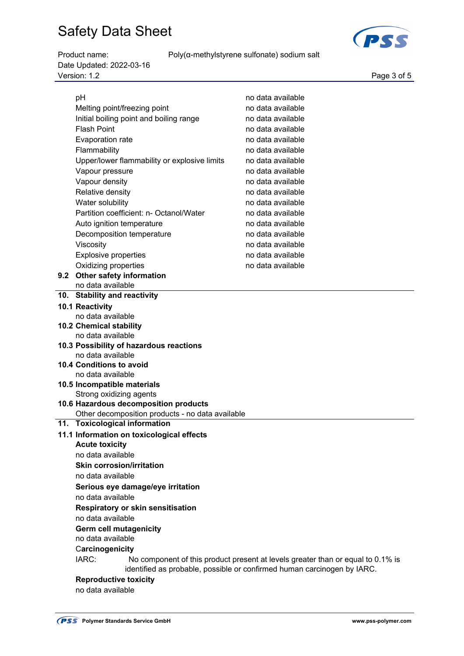Product name: Poly(α-methylstyrene sulfonate) sodium salt

Date Updated: 2022-03-16 Version: 1.2 Page 3 of 5

| pH                                                                                       |                                                  | no data available |  |  |  |
|------------------------------------------------------------------------------------------|--------------------------------------------------|-------------------|--|--|--|
| Melting point/freezing point                                                             |                                                  | no data available |  |  |  |
|                                                                                          | Initial boiling point and boiling range          | no data available |  |  |  |
| <b>Flash Point</b>                                                                       |                                                  | no data available |  |  |  |
| Evaporation rate                                                                         |                                                  | no data available |  |  |  |
| Flammability                                                                             |                                                  | no data available |  |  |  |
|                                                                                          | Upper/lower flammability or explosive limits     | no data available |  |  |  |
| Vapour pressure                                                                          |                                                  | no data available |  |  |  |
| Vapour density                                                                           |                                                  | no data available |  |  |  |
| Relative density                                                                         |                                                  | no data available |  |  |  |
| Water solubility                                                                         |                                                  | no data available |  |  |  |
|                                                                                          | Partition coefficient: n- Octanol/Water          | no data available |  |  |  |
| Auto ignition temperature                                                                |                                                  | no data available |  |  |  |
| Decomposition temperature                                                                |                                                  | no data available |  |  |  |
| Viscosity                                                                                |                                                  | no data available |  |  |  |
|                                                                                          |                                                  | no data available |  |  |  |
| <b>Explosive properties</b>                                                              |                                                  |                   |  |  |  |
| Oxidizing properties                                                                     |                                                  | no data available |  |  |  |
| 9.2 Other safety information<br>no data available                                        |                                                  |                   |  |  |  |
| 10. Stability and reactivity                                                             |                                                  |                   |  |  |  |
| 10.1 Reactivity                                                                          |                                                  |                   |  |  |  |
| no data available                                                                        |                                                  |                   |  |  |  |
| 10.2 Chemical stability                                                                  |                                                  |                   |  |  |  |
| no data available                                                                        |                                                  |                   |  |  |  |
|                                                                                          | 10.3 Possibility of hazardous reactions          |                   |  |  |  |
| no data available                                                                        |                                                  |                   |  |  |  |
| 10.4 Conditions to avoid                                                                 |                                                  |                   |  |  |  |
| no data available                                                                        |                                                  |                   |  |  |  |
| 10.5 Incompatible materials                                                              |                                                  |                   |  |  |  |
| Strong oxidizing agents                                                                  |                                                  |                   |  |  |  |
|                                                                                          | 10.6 Hazardous decomposition products            |                   |  |  |  |
|                                                                                          | Other decomposition products - no data available |                   |  |  |  |
| 11. Toxicological information                                                            |                                                  |                   |  |  |  |
|                                                                                          | 11.1 Information on toxicological effects        |                   |  |  |  |
| <b>Acute toxicity</b>                                                                    |                                                  |                   |  |  |  |
| no data available                                                                        |                                                  |                   |  |  |  |
| <b>Skin corrosion/irritation</b>                                                         |                                                  |                   |  |  |  |
| no data available                                                                        |                                                  |                   |  |  |  |
| Serious eye damage/eye irritation                                                        |                                                  |                   |  |  |  |
| no data available                                                                        |                                                  |                   |  |  |  |
| <b>Respiratory or skin sensitisation</b>                                                 |                                                  |                   |  |  |  |
| no data available                                                                        |                                                  |                   |  |  |  |
| <b>Germ cell mutagenicity</b>                                                            |                                                  |                   |  |  |  |
| no data available                                                                        |                                                  |                   |  |  |  |
| Carcinogenicity                                                                          |                                                  |                   |  |  |  |
| IARC:<br>No component of this product present at levels greater than or equal to 0.1% is |                                                  |                   |  |  |  |
| identified as probable, possible or confirmed human carcinogen by IARC.                  |                                                  |                   |  |  |  |
| <b>Reproductive toxicity</b>                                                             |                                                  |                   |  |  |  |
| no data available                                                                        |                                                  |                   |  |  |  |
|                                                                                          |                                                  |                   |  |  |  |

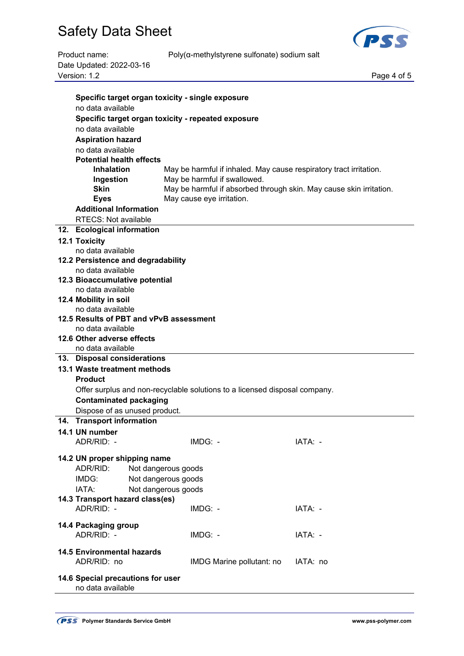

Product name: Poly(α-methylstyrene sulfonate) sodium salt

| Product name:                           | Poly(a-methylstyrene sulfonate) sodium sait                                |             |  |  |  |  |  |
|-----------------------------------------|----------------------------------------------------------------------------|-------------|--|--|--|--|--|
| Date Updated: 2022-03-16                |                                                                            |             |  |  |  |  |  |
| Version: 1.2                            |                                                                            | Page 4 of 5 |  |  |  |  |  |
|                                         |                                                                            |             |  |  |  |  |  |
|                                         | Specific target organ toxicity - single exposure                           |             |  |  |  |  |  |
| no data available                       |                                                                            |             |  |  |  |  |  |
|                                         | Specific target organ toxicity - repeated exposure                         |             |  |  |  |  |  |
| no data available                       |                                                                            |             |  |  |  |  |  |
| <b>Aspiration hazard</b>                |                                                                            |             |  |  |  |  |  |
| no data available                       |                                                                            |             |  |  |  |  |  |
| <b>Potential health effects</b>         |                                                                            |             |  |  |  |  |  |
| <b>Inhalation</b>                       | May be harmful if inhaled. May cause respiratory tract irritation.         |             |  |  |  |  |  |
| Ingestion                               | May be harmful if swallowed.                                               |             |  |  |  |  |  |
| <b>Skin</b>                             | May be harmful if absorbed through skin. May cause skin irritation.        |             |  |  |  |  |  |
| <b>Eyes</b>                             | May cause eye irritation.                                                  |             |  |  |  |  |  |
| <b>Additional Information</b>           |                                                                            |             |  |  |  |  |  |
| <b>RTECS: Not available</b>             |                                                                            |             |  |  |  |  |  |
| 12. Ecological information              |                                                                            |             |  |  |  |  |  |
| 12.1 Toxicity                           |                                                                            |             |  |  |  |  |  |
| no data available                       |                                                                            |             |  |  |  |  |  |
| 12.2 Persistence and degradability      |                                                                            |             |  |  |  |  |  |
| no data available                       |                                                                            |             |  |  |  |  |  |
| 12.3 Bioaccumulative potential          |                                                                            |             |  |  |  |  |  |
| no data available                       |                                                                            |             |  |  |  |  |  |
| 12.4 Mobility in soil                   |                                                                            |             |  |  |  |  |  |
| no data available                       |                                                                            |             |  |  |  |  |  |
| 12.5 Results of PBT and vPvB assessment |                                                                            |             |  |  |  |  |  |
| no data available                       |                                                                            |             |  |  |  |  |  |
| 12.6 Other adverse effects              |                                                                            |             |  |  |  |  |  |
| no data available                       |                                                                            |             |  |  |  |  |  |
| 13. Disposal considerations             |                                                                            |             |  |  |  |  |  |
| 13.1 Waste treatment methods            |                                                                            |             |  |  |  |  |  |
| <b>Product</b>                          |                                                                            |             |  |  |  |  |  |
|                                         | Offer surplus and non-recyclable solutions to a licensed disposal company. |             |  |  |  |  |  |
|                                         | <b>Contaminated packaging</b>                                              |             |  |  |  |  |  |
| Dispose of as unused product.           |                                                                            |             |  |  |  |  |  |
| 14. Transport information               |                                                                            |             |  |  |  |  |  |
| 14.1 UN number                          |                                                                            |             |  |  |  |  |  |
| ADR/RID: -                              | IMDG: -                                                                    | IATA: -     |  |  |  |  |  |
|                                         |                                                                            |             |  |  |  |  |  |
| 14.2 UN proper shipping name            |                                                                            |             |  |  |  |  |  |
| ADR/RID:<br>Not dangerous goods         |                                                                            |             |  |  |  |  |  |
| IMDG:<br>Not dangerous goods            |                                                                            |             |  |  |  |  |  |
| IATA:<br>Not dangerous goods            |                                                                            |             |  |  |  |  |  |
| 14.3 Transport hazard class(es)         |                                                                            |             |  |  |  |  |  |
| ADR/RID: -                              | IMDG: -                                                                    | IATA: -     |  |  |  |  |  |
| 14.4 Packaging group                    |                                                                            |             |  |  |  |  |  |
| ADR/RID: -                              | IMDG: -                                                                    | IATA: -     |  |  |  |  |  |
|                                         |                                                                            |             |  |  |  |  |  |
| <b>14.5 Environmental hazards</b>       |                                                                            |             |  |  |  |  |  |
| ADR/RID: no                             | IMDG Marine pollutant: no                                                  | IATA: no    |  |  |  |  |  |
|                                         |                                                                            |             |  |  |  |  |  |
| 14.6 Special precautions for user       |                                                                            |             |  |  |  |  |  |

no data available